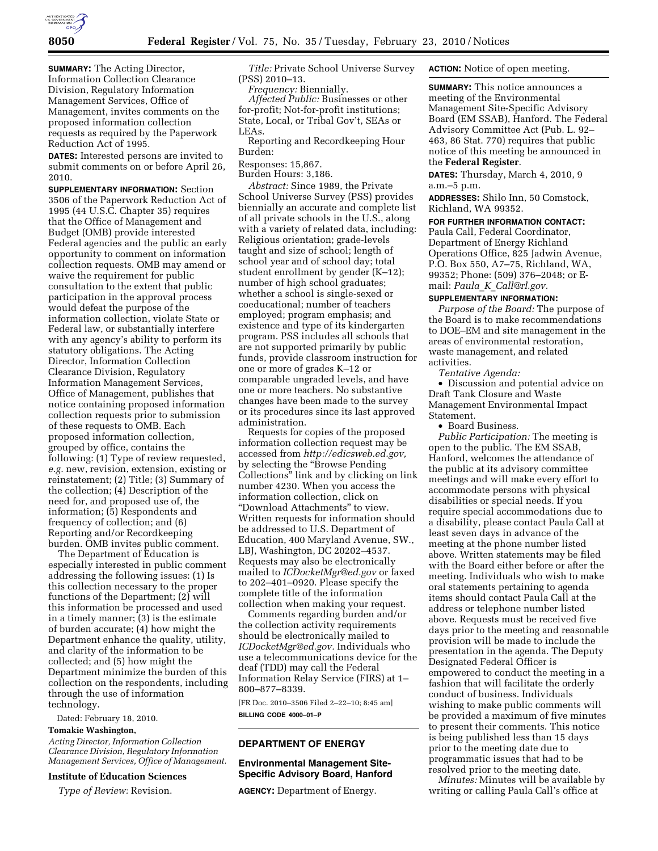

**SUMMARY:** The Acting Director, Information Collection Clearance Division, Regulatory Information Management Services, Office of Management, invites comments on the proposed information collection requests as required by the Paperwork Reduction Act of 1995.

**DATES:** Interested persons are invited to submit comments on or before April 26, 2010.

**SUPPLEMENTARY INFORMATION:** Section 3506 of the Paperwork Reduction Act of 1995 (44 U.S.C. Chapter 35) requires that the Office of Management and Budget (OMB) provide interested Federal agencies and the public an early opportunity to comment on information collection requests. OMB may amend or waive the requirement for public consultation to the extent that public participation in the approval process would defeat the purpose of the information collection, violate State or Federal law, or substantially interfere with any agency's ability to perform its statutory obligations. The Acting Director, Information Collection Clearance Division, Regulatory Information Management Services, Office of Management, publishes that notice containing proposed information collection requests prior to submission of these requests to OMB. Each proposed information collection, grouped by office, contains the following: (1) Type of review requested, *e.g.* new, revision, extension, existing or reinstatement; (2) Title; (3) Summary of the collection; (4) Description of the need for, and proposed use of, the information; (5) Respondents and frequency of collection; and (6) Reporting and/or Recordkeeping burden. OMB invites public comment.

The Department of Education is especially interested in public comment addressing the following issues: (1) Is this collection necessary to the proper functions of the Department; (2) will this information be processed and used in a timely manner; (3) is the estimate of burden accurate; (4) how might the Department enhance the quality, utility, and clarity of the information to be collected; and (5) how might the Department minimize the burden of this collection on the respondents, including through the use of information technology.

Dated: February 18, 2010.

#### **Tomakie Washington,**

*Acting Director, Information Collection Clearance Division, Regulatory Information Management Services, Office of Management.* 

## **Institute of Education Sciences**

*Type of Review:* Revision.

*Title:* Private School Universe Survey (PSS) 2010–13.

*Frequency:* Biennially.

*Affected Public:* Businesses or other for-profit; Not-for-profit institutions; State, Local, or Tribal Gov't, SEAs or LEAs.

Reporting and Recordkeeping Hour Burden:

Responses: 15,867.

Burden Hours: 3,186.

*Abstract:* Since 1989, the Private School Universe Survey (PSS) provides biennially an accurate and complete list of all private schools in the U.S., along with a variety of related data, including: Religious orientation; grade-levels taught and size of school; length of school year and of school day; total student enrollment by gender (K–12); number of high school graduates; whether a school is single-sexed or coeducational; number of teachers employed; program emphasis; and existence and type of its kindergarten program. PSS includes all schools that are not supported primarily by public funds, provide classroom instruction for one or more of grades K–12 or comparable ungraded levels, and have one or more teachers. No substantive changes have been made to the survey or its procedures since its last approved administration.

Requests for copies of the proposed information collection request may be accessed from *http://edicsweb.ed.gov,*  by selecting the ''Browse Pending Collections'' link and by clicking on link number 4230. When you access the information collection, click on ''Download Attachments'' to view. Written requests for information should be addressed to U.S. Department of Education, 400 Maryland Avenue, SW., LBJ, Washington, DC 20202–4537. Requests may also be electronically mailed to *ICDocketMgr@ed.gov* or faxed to 202–401–0920. Please specify the complete title of the information collection when making your request.

Comments regarding burden and/or the collection activity requirements should be electronically mailed to *ICDocketMgr@ed.gov.* Individuals who use a telecommunications device for the deaf (TDD) may call the Federal Information Relay Service (FIRS) at 1– 800–877–8339.

[FR Doc. 2010–3506 Filed 2–22–10; 8:45 am] **BILLING CODE 4000–01–P** 

## **DEPARTMENT OF ENERGY**

## **Environmental Management Site-Specific Advisory Board, Hanford**

**AGENCY:** Department of Energy.

**ACTION:** Notice of open meeting.

**SUMMARY:** This notice announces a meeting of the Environmental Management Site-Specific Advisory Board (EM SSAB), Hanford. The Federal Advisory Committee Act (Pub. L. 92– 463, 86 Stat. 770) requires that public notice of this meeting be announced in the **Federal Register**.

**DATES:** Thursday, March 4, 2010, 9 a.m.–5 p.m.

**ADDRESSES:** Shilo Inn, 50 Comstock, Richland, WA 99352.

#### **FOR FURTHER INFORMATION CONTACT:**

Paula Call, Federal Coordinator, Department of Energy Richland Operations Office, 825 Jadwin Avenue, P.O. Box 550, A7–75, Richland, WA, 99352; Phone: (509) 376–2048; or Email: *Paula*\_*K*\_*Call@rl.gov.* 

#### **SUPPLEMENTARY INFORMATION:**

*Purpose of the Board:* The purpose of the Board is to make recommendations to DOE–EM and site management in the areas of environmental restoration, waste management, and related activities.

*Tentative Agenda:* 

• Discussion and potential advice on Draft Tank Closure and Waste Management Environmental Impact Statement.

• Board Business.

*Public Participation:* The meeting is open to the public. The EM SSAB, Hanford, welcomes the attendance of the public at its advisory committee meetings and will make every effort to accommodate persons with physical disabilities or special needs. If you require special accommodations due to a disability, please contact Paula Call at least seven days in advance of the meeting at the phone number listed above. Written statements may be filed with the Board either before or after the meeting. Individuals who wish to make oral statements pertaining to agenda items should contact Paula Call at the address or telephone number listed above. Requests must be received five days prior to the meeting and reasonable provision will be made to include the presentation in the agenda. The Deputy Designated Federal Officer is empowered to conduct the meeting in a fashion that will facilitate the orderly conduct of business. Individuals wishing to make public comments will be provided a maximum of five minutes to present their comments. This notice is being published less than 15 days prior to the meeting date due to programmatic issues that had to be resolved prior to the meeting date.

*Minutes:* Minutes will be available by writing or calling Paula Call's office at